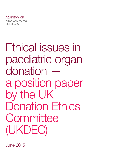Ethical issues in paediatric organ donation a position paper by the UK Donation Ethics **Committee** (UKDEC)

June 2015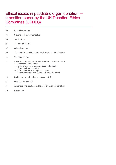## Ethical issues in paediatric organ donation a position paper by the UK Donation Ethics Committee (UKDEC)

- 03 Executive summary
- 04 Summary of recommendations
- 05 Terminology
- 06 The role of UKDEC
- 07 Clinical context
- 09 The need for an ethical framework for paediatric donation
- 10 The legal context
- 11 An ethical framework for making decisions about donation
	- Decisions before death
	- Making decisions about donation after death
	- Donation from neonates
	- Donation from anencephalic infants
	- Cases involving the Coroner or Procurator Fiscal
- 16 Sudden unexpected death in infancy (SUDI)
- 17 Donation for research
- 18 Appendix: The legal context for decisions about donation
- 20 References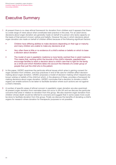## Executive Summary

- At present there is no clear ethical framework for donation from children and it appears that there is a wide range of views about what constitutes best practice in this area. For an adult donor, decisions about organ donation are generally made on behalf of a person who lacks capacity on the basis of that person's known wishes and beliefs. However the way in which decisions about organ donation are made on behalf of children differs because of the following significant factors: 1
	- Children have differing abilities to make decisions depending on their age or maturity and many children are unable to make any decisions at all
	- Very often there is little or no evidence of a child's wishes or beliefs on which to base a decision about donation
	- The model of care in paediatric medicine is more family-centred than in adult medicine. This means that, working within the bounds of the child's interests, paediatricians encourage families to reach a decision about a child's care that is right for the family as a whole and which therefore takes into account the interests of a wider group of people than just the child who is the patient.
- In this paper, UKDEC examines the particular ethical issues which arise in gaining consent for organ donation from children, and how practices in end of life care for children affect decisionmaking about organ donation. UKDEC proposes a model of decision-making which respects any known wishes or beliefs of the child but which, in the absence of these, provides a framework for making decisions about organ donation. UKDEC concludes that a decision to donate a child's organs can enable actions to be taken to facilitate donation where such actions are not against a child's interests. 2
- A number of specific areas of ethical concern in paediatric organ donation are also examined. At present organ donation from neonates does not occur in the UK and we discuss the particular concerns that arise in relation to donation from this group. We also examine organ donation from children whose death would be referred to coroners and suggest that in some cases more could be done to facilitate donation from this group. Finally we discuss the benefits of donating a child's organs for research where donation for therapeutic purposes is not possible. 3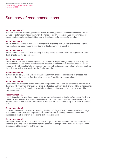## Summary of recommendations

#### Recommendation 1

Provided decisions are not against their child's interests, parents' values and beliefs should be allowed to determine whether they wish their child to be an organ donor, and if so whether to consent to interventions aimed at increasing the chances of a successful donation.

#### Recommendation 2

Where a family is willing to consent to the removal of organs that are viable for transplantation, then the hospital has a responsibility to make this happen if it is possible.

#### Recommendation 3

A decision made by a child with capacity that they would not want to donate organs after their death should always be respected.

#### Recommendation 4

Where a child has indicated willingness to donate (for example by registering on the ODR), has not expressed a view either way or lacks the capacity to make such a decision, then clinicians should work with the child's family to reach a decision that takes account of any information about the child's views but also works for the family as a whole.

#### Recommendation 5

It would be ethically acceptable for organ donation from anencephalic infants to proceed with the consent of the parents after death has been confirmed by circulatory criteria.

#### Recommendation 6

Consistent with our earlier recommendation, the parents' values and beliefs should be allowed to determine whether their anencephalic child is intubated and ventilated, provided this is not against their child's interests. Precautionary sedation and analgesia would be needed to ensure this condition is met.

#### Recommendation 7

Health Departments and those responsible for coronial services in England, Wales and Northern Ireland might consider how the formal agreement on organ and tissue donation between the Procurator Fiscal Service and the Scottish Transplant Group could be adapted to work in the rest of the UK.

#### Recommendation 8

Consideration should be given to reviewing the Royal College of Pathologists and Royal College of Paediatrics and Child Health protocol for post mortems to identify the cause of sudden unexpected death in infancy in the context of organ donation.

#### Recommendation 9

When parents would like to donate their child's organs for transplantation but this is not clinically possible, clinicians should attempt wherever possible to accept such organs for research, if this is an acceptable alternative to the parents.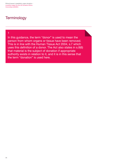Ethical issues in paediatric organ donation – a position paper by the UK Donation Ethics Committee (UKDEC)

## **Terminology**

### 1

In this guidance, the term "donor" is used to mean the person from whom organs or tissue have been removed. This is in line with the Human Tissue Act 2004, s.7 which uses this definition of a donor. The Act also states in s.8(6) that material is the subject of donation if appropriate authority exists in relation to it, and it is in this sense that the term "donation" is used here.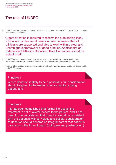# The role of UKDEC

UKDEC was established in January 2010, following a recommendation by the Organ Donation Task Force (ODTF) that: 2

'urgent attention is required to resolve the outstanding legal, ethical and professional issues in order to ensure that all clinicians are supported and able to work within a clear and unambiguous framework of good practice. Additionally, an independent UK-wide Donation Ethics Committee should be established.'

- UKDEC's role is to consider ethical issues relating to the field of organ donation and transplantation and provide independent advice to clinicians, policy leads and others. 3
- There are two guiding principles underpinning ethical frameworks and guidance developed by UKDEC. These are: 4

### Principle 1

Where donation is likely to be a possibility, full consideration should be given to the matter when caring for a dying patient; and

### Principle 2

If it has been established that further life-sustaining treatment is not of overall benefit to the patient, and it has been further established that donation would be consistent with the patient's wishes, values and beliefs, consideration of donation should become an integral part of that patient's care around the time of death (both pre- and post-mortem).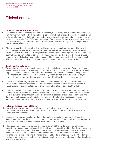## Clinical context

#### Caring for children at the end of life

- Death in childhood is relatively uncommon. However, when a very ill child cannot benefit directly from further treatment and will inevitably die, attention will shift to providing the best possible end of life care for that child first and foremost, but also to providing a good end of life experience for the family as a whole. End of life care for children often involves, for example, encouraging parents to hold their dying child after treatment has been withdrawn and inviting parents to spend time with their child after death. 5
- Wherever possible, children will be involved in decision-making about their care. However, this will not always be feasible and parents will need to make decisions on their children's behalf. Whilst the child's interests and views (if available) will be respected and protected, the health care team will also be committed to caring for the family as a whole. That is why the model of care in paediatric medicine is often described as one of family-centred care. For this reason it can be difficult to translate principles fashioned in an adult environment into one for children. 6

#### Donation & Transplantation

- The number of children who can become organ donors is limited by several factors. As stated earlier, death in childhood is relatively uncommon, and many children who die will have received aggressive medical therapies, or suffer from diseases that preclude successful transplantation of their organs. In addition, organ donation is only possible when a child dies in hospital, so many children, for example those who die at home, will not be able to become donors. 7
- In 2013/14 in the UK, organs were donated by 55 children who died in critical care units. Just over two thirds of these donations (38) took place after confirmation of brainstem death (DBD). The remaining 17 donations took place after confirmation of circulatory death (DCD).<sup>1</sup> 8
- Organ failure is relatively rare in childhood and most childhood deaths from organ failure occur in those for whom a transplant would have offered no benefit. As a result there are relatively few children awaiting transplantation and so a significant proportion of the organs from paediatric donors will be transplanted into adults. It is important therefore that families considering organ donation understand that the organs donated by their child may not go to another child. 9

#### Including donation in end of life care

- 10 Just as it is important that children should be involved wherever possible in making decisions about their care, decisions about organ donation, too, should take account of any evidence of a child's wishes or beliefs.
- It is crucially important to acknowledge that parents of potential donors are firstly grieving 11 parents, and donation should only be pursued as part of a well planned and sensitive programme of care that protects their interests in addition to those of their child.
- If families agree to donation, clinicians should ensure that the child's end of life care is as 12 consistent with usual practice in paediatric medicine as is possible and that families are given the same choices as they would have been had they not considered donation. In some cases this may mean that families will make choices that are incompatible with donation (such as taking the child home to die or holding their child after death) and it is important that their freedom to do so should not be undermined. If such practices rule out the possibility of donation, families should be made aware of this.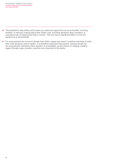Ethical issues in paediatric organ donation – a position paper by the UK Donation Ethics Committee (UKDEC)

- 13 The potential to help others will be seen as a welcome opportunity by some families. Involving families <sup>2</sup> in decision-making about their child's care, including decisions about donation, is a powerful way of helping them feel in control – this can have a significant effect on how the experience is remembered.
- 14 For some parents the choice to donate their child's organs can result in positive memories of what their child achieved, even in death 3. It is therefore important that parents' choices should not be unnecessarily restricted where donation is a possibility, as the chance of creating a lasting legacy through organ donation could be very important to the family.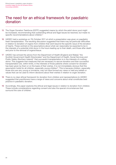## The need for an ethical framework for paediatric donation

- The Organ Donation Taskforce (ODTF) suggested means by which the adult donor pool might be increased, recommending that outstanding ethical and legal issues be resolved, but made no specific recommendations about children.4 15
- UKDEC held a workshop on 7th October 2011 at which a presentation was given on paediatric 16 heart transplantation. The resulting discussion suggested that there may be particular difficulties in relation to donation of organs from children that went beyond the specific issue of the donation of hearts. These centred on the assumptions about what can reasonably be expected to be in the interests of a potential child donor in the hours leading up to their death, and those after death and prior to the removal of organs/tissue.
- 17 UKDEC has echoed the advice from the Department of Health (England and Wales),<sup>5</sup> the Scottish Government Health Directorates<sup>6</sup> and the Department of Health, Social Services and Public Safety (Northern Ireland)<sup>7</sup> that successful transplantation is in the interests of a willing donor. This suggests that measures that are necessary to secure donation and then successful transplantation are, within limits, in the interests of those patients where consent for donation has been given by them or on the basis of their wishes. It is not immediately obvious that this assumption holds for all children, especially young children<sup>8</sup>. This is because children, especially those who are very young or immature, may not have formed any views or held any beliefs or values that can be used to inform decisions about their wishes in relation to organ donation.
- 18 There is no clear ethical framework for donation from children and representations to UKDEC suggested that practitioners have a range of views and concerns about what constitutes best practice in paediatric donation.
- 19 Accordingly, this paper explores the ethical and legal issues in relation to donation from children. These include considerations regarding consent and also the special circumstances that surround the care of children.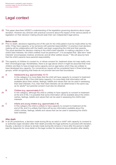## Legal context

This paper describes UKDEC's understanding of the legislation governing decisions about organ donation. However any clinician with practical concerns about the impact of the various pieces of legislation on their decision-making should seek their own independent legal advice. 20

#### Before death

- 21 Prior to death, decisions regarding end of life care for the child patient must be made either by the child, if they have capacity, or by someone with parental responsibility<sup>9</sup>. In practice most decisionmaking will be collaborative with the health care team supporting the child and their parents. The usual standard for decision-making is the child's best interests. In making a decision in the child's best interests, the child's welfare must be paramount<sup>10</sup>. It is accepted that: '[t]he term 'best interests' encompasses medical, emotional, and all other welfare issues.'11 We will assume here that the child's parents have parental responsibility.
- 22 The capacity of children to consent to, or refuse consent for, treatment does not map neatly onto their chronological age. Nonetheless, there is an age above which it might be assumed that most children are likely to have at least some capacity and an age below which they are unlikely to have developed any capacity. For convenience, issues will be considered here in three broad age groups, whilst recognising that these do not provide hard and fast boundaries.

#### A Adolescents (e.g. approximately 12-17) 23

 In this category it is more likely that the child will have capacity to consent to treatment at the end of life. If the child lacks capacity, it is more likely that information will be available about their wishes, feelings, beliefs and values that can be used in assessing their best interests. If so, then their best interests can be determined in the same way as for adults<sup>12</sup> but parental consent must also be obtained.

#### B Children (e.g. approximately 8-11)

 In this category, although the child is unlikely to have capacity to consent to treatment at the end of life, it is possible that some information will be available about the child's wishes, feelings, beliefs and values that can be used in assessing the child's best interests. 24

#### C Infants and young children (e.g. approximately 0-8)

 In this category the child is unlikely to have capacity to consent to treatment at the end of life, and it is unlikely that there will be any information available about the child's wishes, feelings, beliefs and values that can be used in assessing the child's best interests. 25

#### After death

26 In all UK jurisdictions, a decision made during life by an adult or child<sup>13</sup> with capacity to consent to or authorise organ donation after their death provides the legal authority to proceed with donation. Equally, a decision to refuse to donate made during life remains in force after the person's death (see the Appendix for more detail on the legal context for decisions about donation after death).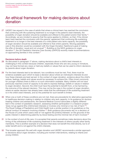## An ethical framework for making decisions about donation

UKDEC has argued in the case of adults that where a clinical team has reached the conclusion 27 that continuing with life sustaining treatment is no longer in the patient's best interests, the possibility of organ donation should be available and offered to the patient and/or their family 14. Accordingly, we are minded to assume that the same applies to children, so that, if the clinical team have reached the conclusion with the parents' agreement that continuing life-sustaining treatment is no longer in the best interests of a child patient who lacks capacity, the possibility of organ donation should be available and offered to that child's parents. Moving paediatric care in this direction would be consistent with the Organ Donation Taskforce's goal of making the offer of donation 'usual and not unusual' 15. Building on the NICE guidance on organ donation 16, the UK Paediatric Intensive Care Society (UKPICS) recently made recommendations on approaching families in this context.17

#### Decisions before death

- As discussed in paragraph 17 above, making decisions about a child's best interests is 28 challenging in this context because children, especially those who are very young or immature, may not have formed any views or held any beliefs or values that can be used to inform decisions by parents about organ donation.
- For the best interests test to be relevant, two conditions must be met. First, there must be 29 evidence available upon which to base a decision about where an individual's interests lie and how these interests are best served. In the context of organ donation, evidence about the child's wishes, feelings, beliefs and values would be necessary to achieve this. Often (most commonly for younger children) there is little or no such information available. Many children will not have previously reached a level of capacity to be able to express feelings, beliefs or values in relation to organ donation. Second, the child must have the potential to benefit from, or be harmed by, the outcome of the relevant decision. This may not be the case in the context of organ donation, where an earlier decision has already been made that the withdrawal of life-sustaining treatment is in the child's best interests, and so the potential for such benefit is limited.
- When one or both of these conditions are not met, there are precedents for alternative approaches 30 to healthcare decision-making in relation to children who lack capacity. In its guidance for doctors treating children and adolescents, the General Medical Council advocates a slightly different test in the context of paediatric research, assessing whether participation in a research project 'does not go against [the child's] best interests or involves only minimal or low risk of harm' 18. The Royal College of Paediatrics and Child Health took a similar position in its guidelines on the ethical conduct of research involving children 19. Both guidance documents rely on a decision of the House of Lords which used a test of 'not against the [child's] interests' on the grounds of the public interest in determining paternity by blood testing and the minimal risk of harm involved.<sup>20</sup>
- 31 In the context of end-of-life care, it is accepted that parents sometimes make decisions about the timing of the withdrawal of life-sustaining treatment in the interests of others (usually other family members). This is another example of a decision that does not benefit the child directly, but is of wider benefit and is *not against* the child's interests.
- This broader approach fits well with organ donation and UKDEC recommends a similar approach 32to decisions about organ donation, including pre-mortem interventions, relating to infants and young children.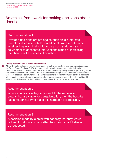## An ethical framework for making decisions about donation

### Recommendation 1

Provided decisions are not against their child's interests, parents' values and beliefs should be allowed to determine whether they wish their child to be an organ donor, and if so whether to consent to interventions aimed at increasing the chances of a successful donation.

### Making decisions about donation after death

Where the potential donor has provided legally effective consent (for example by registering on 33the Organ Donor Register (ODR)), the norm is still to seek the agreement of relatives before continuing to donation even though this is not legally necessary. This practice appears to give the final say to relatives rather than the donor, potentially enabling relatives to undermine the donor's wishes. In paediatric care where decision-making is more customarily family-centred, clinicians will be used to working towards a position where a decision works well both for the child and the wider family. This would be the goal in any case where donation became an option.

### Recommendation 2

Where a family is willing to consent to the removal of organs that are viable for transplantation, then the hospital has a responsibility to make this happen if it is possible.

### Recommendation 3

A decision made by a child with capacity that they would not want to donate organs after their death should always be respected.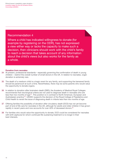### Recommendation 4

Where a child has indicated willingness to donate (for example by registering on the ODR), has not expressed a view either way or lacks the capacity to make such a decision, then clinicians should work with the child's family to reach a decision that takes account of any information about the child's views but also works for the family as a whole.

#### Donation from neonates

- At present, professional standards especially governing the confirmation of death in young 34 children – restrict the overall number of small donors in the UK. In relation to neonates, organ donation is extremely rare.
- The death of a newborn child is a tragic event for any family, and supporting the bereaved family 35 should be paramount at such a time. Nevertheless, there may be some parents who would value the opportunity to donate organs.
- 36 In relation to donation after brainstem death (DBD), the Academy of Medical Royal Colleges recommends that neurological criteria are not used to diagnose death in neonates who are less than two months of age 21. This position is in contrast to North American, European and Australasian practice<sup>22</sup>. UKDEC supports the decision of the Royal College of Paediatrics and Child Health to revisit the issue of diagnosing death in infants less than two months of age.
- Offering families the possibility of donation after circulatory death (DCD) has not yet become 37 part of end of life care for neonates in the UK, although for adults and older children it has grown rapidly in recent years and now accounts for over 40% of deceased donors.<sup>23</sup>
- For families who would value the opportunity to donate, DCD could be considered for neonates 38with birth asphyxia for whom continued life-sustaining treatment is no longer in their best interests.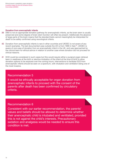#### Donation from anencephalic infants

- DBD is not an appropriate donation pathway for anencephalic infants, as the brain stem is usually 39 preserved and some degree of brain stem function will often be present. Additionally the absence of large parts of the brain means that the standard tests cannot meaningfully be interpreted for death to be safely confirmed using neurological criteria.
- 40 Donation from anencephalic infants is rare in other countries and UKDEC is not aware of any recent examples. The last documented case outside the UK is from 1999 in Italy <sup>24</sup>. UKDEC is aware of one case of donation from an anencephalic infant in the UK, and was approached by the clinical team for ethical advice in relation to another case where donation did not proceed for clinical reasons.
- DCD could be considered in such cases but this would require either a surgical organ retrieval 41team in readiness at the birth or elective intubation of the infant at the time of birth to allow donation options to be explored over the coming hours. Interventions to facilitate DCD from anencephalic infants should be seen on a spectrum, with intubation and ventilation being one of the most invasive.

### Recommendation 5

It would be ethically acceptable for organ donation from anencephalic infants to proceed with the consent of the parents after death has been confirmed by circulatory criteria.

### Recommendation 6

Consistent with our earlier recommendation, the parents' values and beliefs should be allowed to determine whether their anencephalic child is intubated and ventilated, provided this is not against the child's interests. Precautionary sedation and analgesia would be needed to ensure this condition is met.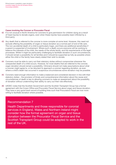#### Cases involving the Coroner or Procurator Fiscal

- 42 It is not unusual in North America for coroners to give permission for children dying as a result of head injuries to donate organs, even when these injuries have possibly been inflicted by a third party.
- Any death that is referred to the coroner is more complex at some level. However, this need not 43 exclude offering the possibility of organ or tissue donation as a normal part of end of life care. The non-accidental death of a child is particularly tragic, and there are additional sensitivities if a parent is suspected of involvement. Where such a death occurs everyone will be working to balance the interests of the child, the needs of the whole family, and the requirements of the legal processes. Whilst it might be particularly challenging to facilitate donation in such circumstances, it should remain a possibility for all families and it should be supported as fully as possible where either the child or the family have clearly stated their wish to donate.
- Coroners must be able to carry out their statutory duties without compromise whenever the 44 unexpected death of a child occurs. However, for most deaths that are referred to the coroner, organ donation should remain a possibility. Clinicians should not make assumptions about what a coroner might agree to, or be reluctant to approach a coroner regarding donation, as even where a child's death has occurred in suspicious circumstances some donation may be possible.
- Coroners need enough information to make a balanced and considered decision in line with their 45 statutory duties – the provision of timely and comprehensive information about the cause and circumstances of death is key to allowing coroners to make an assessment about the possibility of donation without undermining their ability to carry out their role effectively.
- UKDEC notes that the Scottish Government and the Scottish Transplant Group has a formal 46agreement with the Crown Office and Procurator Fiscal Service about organ and tissue donation. They have a very good track record of building links such that Procurators Fiscal are now more willing to facilitate donation where possible.

### Recommendation 7

Health Departments and those responsible for coronial services in England, Wales and Northern Ireland might consider how the formal agreement on organ and tissue donation between the Procurator Fiscal Service and the Scottish Transplant Group could be adapted to work in the rest of the UK.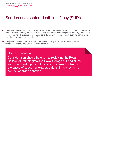## Sudden unexpected death in infancy (SUDI)

- The Royal College of Pathologists and Royal College of Paediatrics and Child Health protocol for 47 post mortem to identify the cause of SUDI requires forensic pathologists to carefully scrutinise all organs in detail. This scrutiny precludes consideration of organ donation, even if a parent were voluntarily to raise it as a possibility.25
- The potential beneficial effects that organ donation may afford bereaved families are not, 48therefore, currently available in the case of SUDI.

### Recommendation 8

Consideration should be given to reviewing the Royal College of Pathologists and Royal College of Paediatrics and Child Health protocol for post mortems to identify the cause of sudden unexpected death in infancy in the context of organ donation.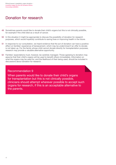## Donation for research

- 49 Sometimes parents would like to donate their child's organs but this is not clinically possible, for example if the child died as a result of cancer.
- 50 In this situation it might be appropriate to discuss the possibility of donation for research purposes, which would hopefully contribute to saving lives or improving health in the future.
- 51 In response to our consultation, we heard evidence that the act of donation can have a positive effect on families' experience of bereavement, which may be undermined if an offer to donate is not taken up. For the family whose child cannot donate directly for transplantation purposes, research may provide a valuable alternative opportunity.
- Families' expectations must, however, be carefully managed. Those agreeing to donation may 52assume that their child's organs will be used to benefit others immediately. Information on what the organs may be used for, and the likelihood of their being used, should be included in discussions about donation for research.

### Recommendation 9

When parents would like to donate their child's organs for transplantation but this is not clinically possible, clinicians should attempt wherever possible to accept such organs for research, if this is an acceptable alternative to the parents.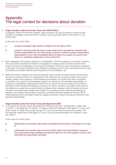## Appendix: The legal context for decisions about donation

#### Organ donation under the Human Tissue Act 2004 (HTAct) 1

In England, Wales and Northern Ireland, organ donation can only proceed if consent to that donation is available under the HTAct. Consent can be provided either by the donor<sup>26</sup> or by a third party.

In the case of a child, either:

- a. consent to donation after death is available from the donor child <sup>27</sup>
- b. consent to donation after the donor child's death will be provided by someone with parental responsibility for the child (usually a parent) or where no person had parental responsibility for the child immediately before he died, the consent of a person who stood in a 'qualifying relationship' to him at that time
- Both categories will include a spectrum of possibilities. The first category will include: (i) donors who have both consented to donation and agreed to undergo some or all procedures which would increase the probability of a successful transplant; (ii) donors who have simply consented to donation by joining the Organ Donor Register or signing a donor card; and (iii) donors who have consented to donation without performing one of the formalities in (ii).  $\mathfrak{D}$
- Within the second category (1b. above), although most consent providers will be influenced by the donor's wishes, there is no requirement in the HTAct for the consent to reflect the donor's wishes. Cases in this category could therefore encompass: (iv) donors who have consented to donation, but consent is nonetheless sought from someone with parental responsibility or a person in a qualifying relationship to the donor; (v) donors for whom consent is provided on the basis of their wishes and feelings; (vi) donors for whom consent is provided on the basis of the beliefs and values that would be likely to influence their decision; and (vii) donors for whom consent is provided even though there is little or no evidence of their wishes and feelings on donation, or evidence that donation would be consistent with their beliefs and values. Most child potential donors are likely to fall into category (vii) with consent provided by someone with parental responsibility. 3

#### Organ donation under the Human Tissue (Scotland) Act 2006

In Scotland, the Human Tissue (Scotland) Act 2006 uses the term "authorisation" rather than "consent". In its treatment of children, it makes a distinction between those aged 12 or over, and those under 12. While those under the age of 12 are not permitted to authorise donation, the Act explicitly states that a child aged 12 or over can provide authorisation for donation in their own right.28 4

In the case of a child, either:

- a. authorisation for donation after death is available from the donor child (aged 12 or over), or
- b. authorisation for donation after the donor child's death will be provided by someone who had parental responsibilities and parental rights for the child (usually a parent; local authorities are specifically excluded).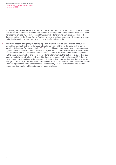Ethical issues in paediatric organ donation – a position paper by the UK Donation Ethics Committee (UKDEC)

- Both categories will include a spectrum of possibilities. The first category will include: (i) donors who have both authorised donation and agreed to undergo some or all procedures which would increase the probability of a successful transplant; (ii) donors who have simply authorised donation by joining the Organ Donor Register or signing a donor card; and (iii) donors who have authorised donation without performing one of the formalities in (ii). 5
- Within the second category (4b. above), a person may not provide authorisation if they have "actual knowledge that the child was unwilling for any part of the child's body, or the part in question, to be used for transplantation" <sup>29</sup>. Cases in this category could therefore encompass: (iv) donors who have authorised donation, but agreement is nonetheless sought from someone with parental rights and parental responsibilities; (v) donors for whom authorisation is provided on the basis of their wishes and feelings; (vi) donors for whom authorisation is provided on the basis of the beliefs and values that would be likely to influence their decision; and (vii) donors for whom authorisation is provided even though there is little or no evidence of their wishes and feelings on donation, or evidence that donation would be consistent with their beliefs and values. Most child potential donors are likely to fall into category (vii) with authorisation provided by someone with parental rights and parental responsibilities. 6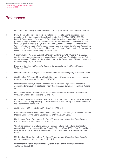## **References**

- 1. NHS Blood and Transplant Organ Donation Activity Report 2013/14, page 17, table 3.6
- 2. Bellali T, Papadatou D. The decision-making process of parents regarding organ donation of their brain dead child: A Greek study. *Soc Sci Med* 2007;64:439-50; Bellali T, Papazoglou I, Papadatou D. Empirically based recommendations to support parents facing the dilemma of paediatric cadaver organ donation. *Intensive Crit Care Nurs* 2007;23:216-25; Sque M, Walker W, Long-Sutehall T, Morgan M, Randhawa G, Warrens A. *Bereaved families' experiences of organ and tissue donation, and perceived influences on their decision making*. Final report of a study funded by the Department of Health, University of Wolverhampton, June, 2013.
- 3. Sque M, Walker W, Long-Sutehall T, Morgan M, Randhawa G, Warrens A. *Bereaved*  families' experiences of organ and tissue donation, and perceived influences on their *decision making*. Final report of a study funded by the Department of Health, University of Wolverhampton, June, 2013.
- 4. Department of Health. *Organs for transplants: a report from the Organ Donation Taskforce*. 2008.
- 5. Department of Health. *Legal issues relevant to non-heartbeating organ donation*. 2009.
- 6. Chief Medical Officer and Public Health Directorate. *Guidance on legal issues relevant to donation following cardiac death* CMO(2010)11.
- 7. Department of Health, Social Services and Public Safety. *Legal issues relevant to donation after circulatory death (non-heart-beating organ donation) in Northern Ireland*. 2011.
- 8. UK Donation Ethics Committee. *An Ethical Framework for Controlled Donation after Circulatory Death*. 2011, sections 1.3 and 1.4.
- 9. Or "parental responsibilities and parental rights" in Scotland. For ease of use we will use the term "parental responsibility" in this document unless making specific reference to the Scottish legal framework.
- 10. Children Act 1989, s.1; Children (Scotland) Act 1995, s.1.
- 11. Portsmouth Hospitals NHS Trust v Wyatt [2005] EWCA Civ 1181, [87]. See also, General Medical Council. 0-18 Years: *Guidance for all Doctors*. 2007, [12].
- 12. UK Donation Ethics Committee. *An Ethical Framework for Controlled Donation after Circulatory Death*. 2011, sections 1.3 and 1.4.
- 13. "Gillick competent" in England, Wales & Northern Ireland. In Scotland, the test for capacity is found in the Age of Legal Capacity (Scotland) Act 1991, s.2(4). The child must be aged 12 or over to provide authorisation in Scotland. See the Appendix for more detail.
- 14. UK Donation Ethics Committee. *An Ethical Framework for Controlled Donation after Circulatory Death*. 2011, principle 2, [v], [1.4.1]
- 15. Department of Health. *Organs for transplants: a report from the Organ Donation Taskforce*. 2008, [1.23].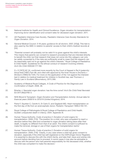Ethical issues in paediatric organ donation – a position paper by the UK Donation Ethics Committee (UKDEC)

- 16. National Institute for Health and Clinical Excellence. *Organ donation for transplantation: Improving donor identification and consent rates for deceased organ donation*. 2011.
- 17. UK Paediatric Intensive Care Society. *Paediatric Intensive Care Society Standards for Organ Donation*. 2014.
- 18. General Medical Council. 0-18 years: *guidance for all doctors*. 2007, [37(a)]. This test is also used by the GMC in relation to parents' access to their child's medical records at [54].
- 19. "Parental consent will probably not be valid if it is given against the child's interests. This means that parents can consent to research procedures that are intended directly to benefit the child, but that research that does not come into this category can only be validly consented to if the risks are sufficiently small to mean that the research can be reasonably said not to go against the child's interests." Royal College of Paediatrics & Child Health. Guidelines for the ethical conduct of research involving children. *Arch Dis Child* 2000;82:177-182.
- 20. *S v S* [1972] AC 24, confirmed more recently by the Court of Appeal in Re H (*paternity: blood test*) [1997] Fam 89, and cited with approval by the Inner House in *Docherty v McGlynn* [1983] SLT 645. For more on the application of the 'not against the interests' test in relation to medical treatment for children in Scottish law, see Thomson J. *Family Law in Scotland* (Bloomsbury, 2011) 269.
- 21. Academy of Medical Royal Colleges. *A Code of Practice for the Diagnosis and Confirmation of Death*. 2008. 28.
- 22. Brierley J. Neonatal organ donation: has the time come? *Arch Dis Child Fetal Neonatal Ed* 2011;96(2):F80-3.
- 23. NHS Blood & Transplant. *Organ Donation and Transplantation Activity: Annual data for financial years 2009/10 to 2013/14 (United Kingdom)*. 2014.
- 24. Parisi F, Squitieri C, Carotti A, Di Carlo D, and Gagliardi MG. Heart transplantation on the first day of life from an anencephalic donor. *Pediatric Transplant* 1999;3:150-151.
- 25. Royal College of Pathologists & Royal College of Paediatrics and Child Health. *Sudden unexpected death in infancy*. 2004. Appendix III.
- 26. Human Tissue Authority. *Code of practice 2: Donation of solid organs for transplantation*. 2009, [115]: 'The position for a child, who was competent to reach a decision before they died and consented to organ donation taking place after their death, is legally no different from that of an adult. The child's consent is sufficient to make the removal, storage or use of their organs for transplantation lawful.'
- 27. Human Tissue Authority. *Code of practice 2: Donation of solid organs for transplantation*. 2009, [116]: 'Clearly, in any case where a child has given consent to donation, especially if the child has self-registered on the ODR [Organ Donor Register], it is essential to discuss this with the child's family, and take their views and wishes into account before deciding how to proceed. In some cases it may also be advisable to discuss with the person who had parental responsibility for the deceased child, whether the child was competent to make the decision.'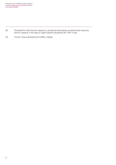28. Provided the child has the capacity to decide for themselves as determined using the test for capacity in the Age of Legal Capacity (Scotland) Act 1991, s.2(4).

29. Human Tissue (Scotland) Act 2006, s.9(4)(a).